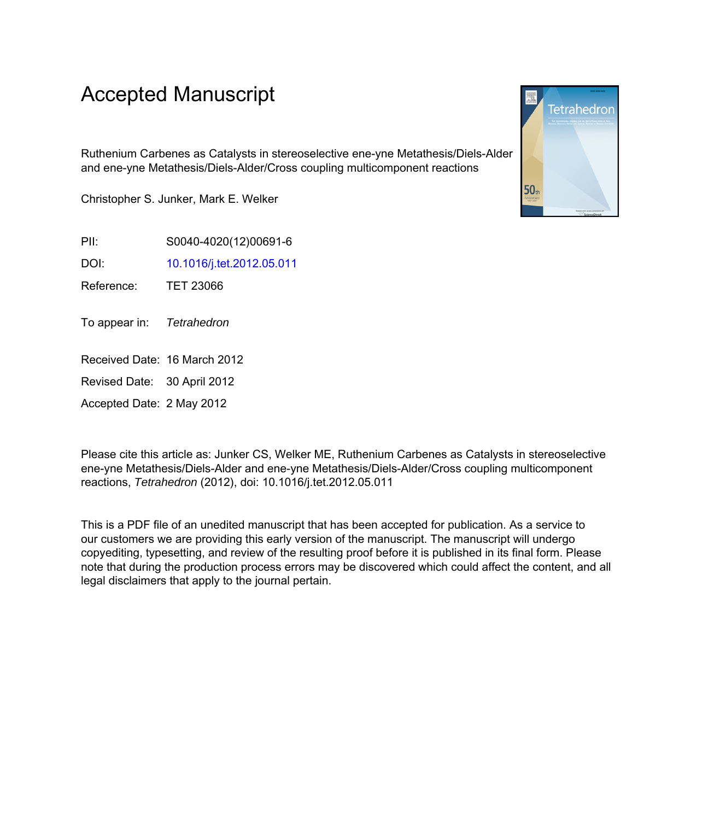# Accepted Manuscript

Ruthenium Carbenes as Catalysts in stereoselective ene-yne Metathesis/Diels-Alder and ene-yne Metathesis/Diels-Alder/Cross coupling multicomponent reactions

Christopher S. Junker, Mark E. Welker

PII: S0040-4020(12)00691-6

DOI: [10.1016/j.tet.2012.05.011](http://dx.doi.org/10.1016/j.tet.2012.05.011)

Reference: TET 23066

To appear in: Tetrahedron

Received Date: 16 March 2012

Revised Date: 30 April 2012

Accepted Date: 2 May 2012

Please cite this article as: Junker CS, Welker ME, Ruthenium Carbenes as Catalysts in stereoselective ene-yne Metathesis/Diels-Alder and ene-yne Metathesis/Diels-Alder/Cross coupling multicomponent reactions, Tetrahedron (2012), doi: 10.1016/j.tet.2012.05.011

This is a PDF file of an unedited manuscript that has been accepted for publication. As a service to our customers we are providing this early version of the manuscript. The manuscript will undergo copyediting, typesetting, and review of the resulting proof before it is published in its final form. Please note that during the production process errors may be discovered which could affect the content, and all legal disclaimers that apply to the journal pertain.

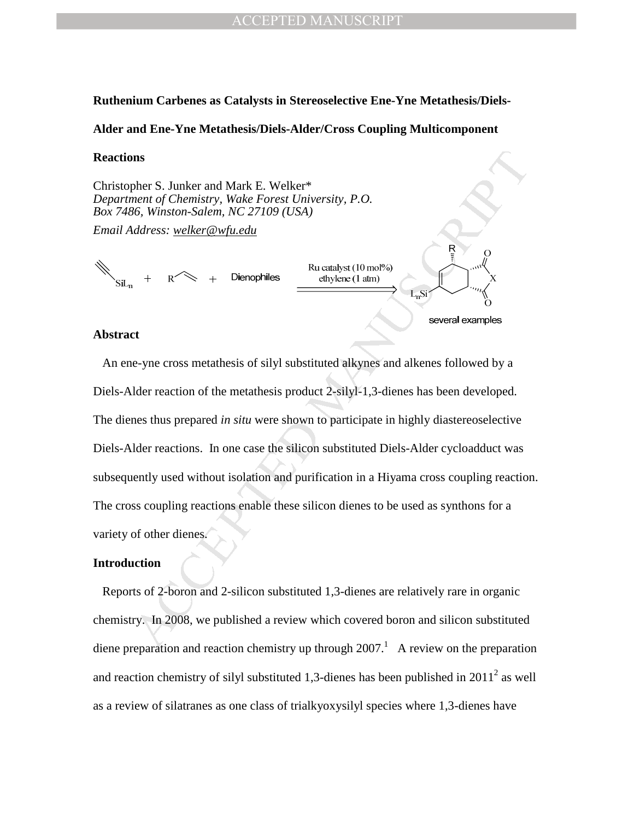### **Ruthenium Carbenes as Catalysts in Stereoselective Ene-Yne Metathesis/Diels-**

### **Alder and Ene-Yne Metathesis/Diels-Alder/Cross Coupling Multicomponent**

### **Reactions**

Christopher S. Junker and Mark E. Welker\* *Department of Chemistry, Wake Forest University, P.O. Box 7486, Winston-Salem, NC 27109 (USA)* 

*Email Address: welker@wfu.edu*

### **Abstract**

**Internal of Chemistry, Walch Forest University, P.O.**<br>
Hence The Chemistry, Walch Forest University, P.O.<br>
So, Winston-Sadem, NC 27109 (USA)<br>
Iddress: <u>velker@wfiledu</u><br>  $+$   $\kappa \ll +$  Dienophiles  $\frac{\text{Rocatalyst (10)} \text{mol}^2}{\text{$  An ene-yne cross metathesis of silyl substituted alkynes and alkenes followed by a Diels-Alder reaction of the metathesis product 2-silyl-1,3-dienes has been developed. The dienes thus prepared *in situ* were shown to participate in highly diastereoselective Diels-Alder reactions. In one case the silicon substituted Diels-Alder cycloadduct was subsequently used without isolation and purification in a Hiyama cross coupling reaction. The cross coupling reactions enable these silicon dienes to be used as synthons for a variety of other dienes.

### **Introduction**

 Reports of 2-boron and 2-silicon substituted 1,3-dienes are relatively rare in organic chemistry. In 2008, we published a review which covered boron and silicon substituted diene preparation and reaction chemistry up through  $2007$ .<sup>1</sup> A review on the preparation and reaction chemistry of silyl substituted 1,3-dienes has been published in  $2011^2$  as well as a review of silatranes as one class of trialkyoxysilyl species where 1,3-dienes have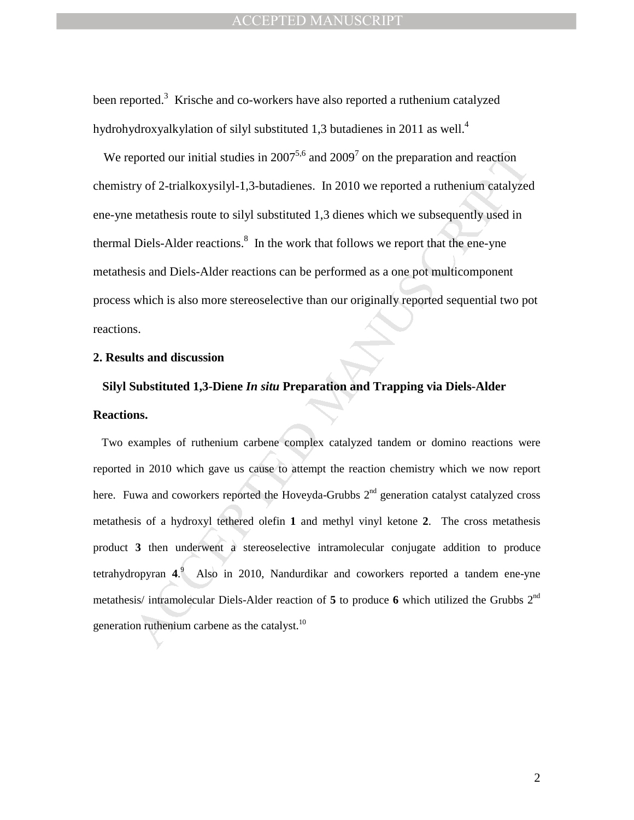been reported.<sup>3</sup> Krische and co-workers have also reported a ruthenium catalyzed hydrohydroxyalkylation of silyl substituted 1,3 butadienes in 2011 as well.<sup>4</sup>

We reported our initial studies in  $2007^{5,6}$  and  $2009^7$  on the preparation and reaction chemistry of 2-trialkoxysilyl-1,3-butadienes. In 2010 we reported a ruthenium catalyzed ene-yne metathesis route to silyl substituted 1,3 dienes which we subsequently used in thermal Diels-Alder reactions. $\delta$  In the work that follows we report that the ene-yne metathesis and Diels-Alder reactions can be performed as a one pot multicomponent process which is also more stereoselective than our originally reported sequential two pot reactions.

### **2. Results and discussion**

# **Silyl Substituted 1,3-Diene** *In situ* **Preparation and Trapping via Diels-Alder Reactions.**

eported our initial studies in 2007<sup>5,6</sup> and 2009<sup>7</sup> on the preparation and reaction<br>ry of 2-trialkoxysilyl-1,3-butadienes. In 2010 we reported a ruthenium eartalyze<br>metathesis route to silyl substituted 1,3 dienes which Two examples of ruthenium carbene complex catalyzed tandem or domino reactions were reported in 2010 which gave us cause to attempt the reaction chemistry which we now report here. Fuwa and coworkers reported the Hoveyda-Grubbs  $2<sup>nd</sup>$  generation catalyst catalyzed cross metathesis of a hydroxyl tethered olefin **1** and methyl vinyl ketone **2**. The cross metathesis product **3** then underwent a stereoselective intramolecular conjugate addition to produce tetrahydropyran **4**. 9 Also in 2010, Nandurdikar and coworkers reported a tandem ene-yne metathesis/ intramolecular Diels-Alder reaction of **5** to produce **6** which utilized the Grubbs 2nd generation ruthenium carbene as the catalyst. $^{10}$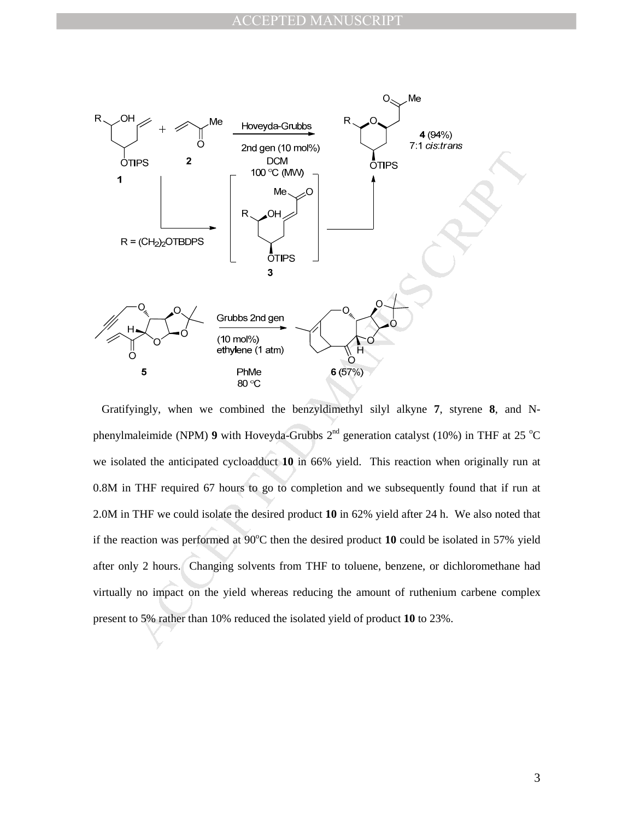

 Gratifyingly, when we combined the benzyldimethyl silyl alkyne **7**, styrene **8**, and Nphenylmaleimide (NPM) **9** with Hoveyda-Grubbs  $2^{nd}$  generation catalyst (10%) in THF at 25 °C we isolated the anticipated cycloadduct **10** in 66% yield. This reaction when originally run at 0.8M in THF required 67 hours to go to completion and we subsequently found that if run at 2.0M in THF we could isolate the desired product **10** in 62% yield after 24 h. We also noted that if the reaction was performed at  $90^{\circ}$ C then the desired product 10 could be isolated in 57% yield after only 2 hours. Changing solvents from THF to toluene, benzene, or dichloromethane had virtually no impact on the yield whereas reducing the amount of ruthenium carbene complex present to 5% rather than 10% reduced the isolated yield of product **10** to 23%.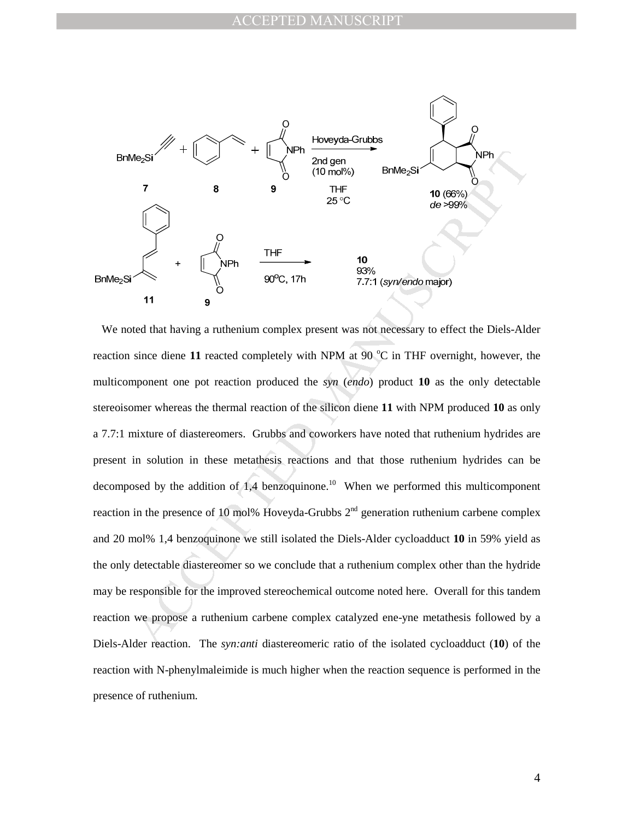

Man and an architecture of the manufacture of the manufology of the manufacture of the individual detectable diaster<br>experience of the manufacture of the set of the set of the set of the set of the set of the set of the s We noted that having a ruthenium complex present was not necessary to effect the Diels-Alder reaction since diene  $11$  reacted completely with NPM at 90  $^{\circ}$ C in THF overnight, however, the multicomponent one pot reaction produced the *syn* (*endo*) product **10** as the only detectable stereoisomer whereas the thermal reaction of the silicon diene **11** with NPM produced **10** as only a 7.7:1 mixture of diastereomers. Grubbs and coworkers have noted that ruthenium hydrides are present in solution in these metathesis reactions and that those ruthenium hydrides can be decomposed by the addition of 1,4 benzoquinone.<sup>10</sup> When we performed this multicomponent reaction in the presence of 10 mol% Hoveyda-Grubbs  $2<sup>nd</sup>$  generation ruthenium carbene complex and 20 mol% 1,4 benzoquinone we still isolated the Diels-Alder cycloadduct **10** in 59% yield as the only detectable diastereomer so we conclude that a ruthenium complex other than the hydride may be responsible for the improved stereochemical outcome noted here. Overall for this tandem reaction we propose a ruthenium carbene complex catalyzed ene-yne metathesis followed by a Diels-Alder reaction. The *syn:anti* diastereomeric ratio of the isolated cycloadduct (**10**) of the reaction with N-phenylmaleimide is much higher when the reaction sequence is performed in the presence of ruthenium.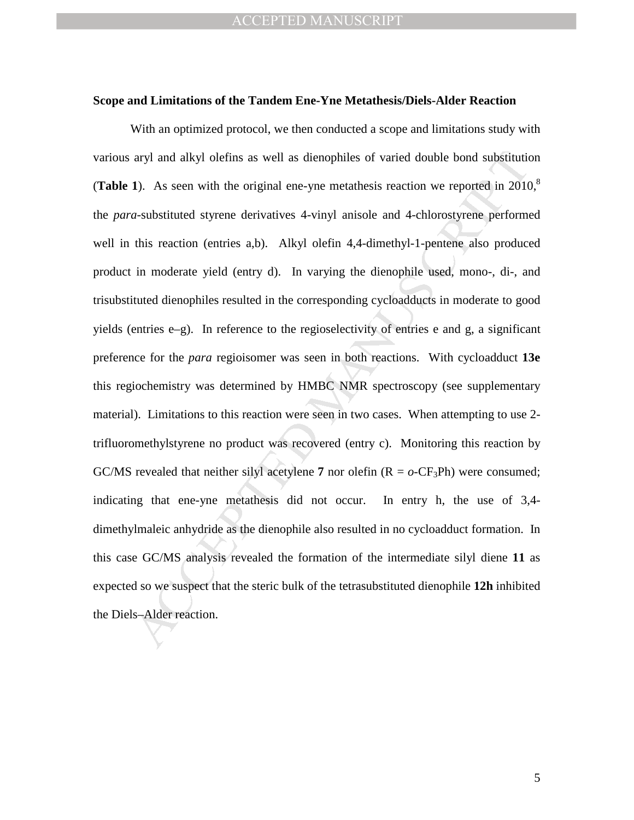### **Scope and Limitations of the Tandem Ene-Yne Metathesis/Diels-Alder Reaction**

aryl and alkyl olefins as well as dienophiles of varied double bond substitution<br>
1). As seen with the original ene-yne metathesis reaction we reported in 2010<br>
2010 a-substituted styrene derivatives 4-vinyl anisole and 4 With an optimized protocol, we then conducted a scope and limitations study with various aryl and alkyl olefins as well as dienophiles of varied double bond substitution (**Table 1**). As seen with the original ene-yne metathesis reaction we reported in  $2010$ <sup>8</sup> the *para*-substituted styrene derivatives 4-vinyl anisole and 4-chlorostyrene performed well in this reaction (entries a,b). Alkyl olefin 4,4-dimethyl-1-pentene also produced product in moderate yield (entry d). In varying the dienophile used, mono-, di-, and trisubstituted dienophiles resulted in the corresponding cycloadducts in moderate to good yields (entries e–g). In reference to the regioselectivity of entries e and g, a significant preference for the *para* regioisomer was seen in both reactions. With cycloadduct **13e** this regiochemistry was determined by HMBC NMR spectroscopy (see supplementary material). Limitations to this reaction were seen in two cases. When attempting to use 2 trifluoromethylstyrene no product was recovered (entry c). Monitoring this reaction by GC/MS revealed that neither silyl acetylene 7 nor olefin  $(R = o - CF_3Ph)$  were consumed; indicating that ene-yne metathesis did not occur. In entry h, the use of 3,4 dimethylmaleic anhydride as the dienophile also resulted in no cycloadduct formation. In this case GC/MS analysis revealed the formation of the intermediate silyl diene **11** as expected so we suspect that the steric bulk of the tetrasubstituted dienophile **12h** inhibited the Diels–Alder reaction.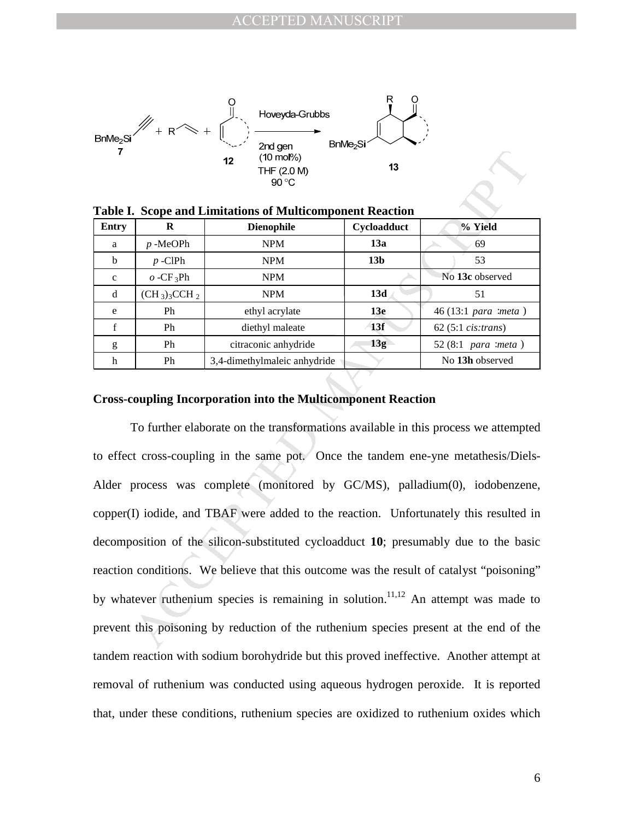

| <b>Entry</b> | R               | <b>Dienophile</b>            | Cycloadduct     | % Yield                      |
|--------------|-----------------|------------------------------|-----------------|------------------------------|
| a            | $p$ -MeOPh      | <b>NPM</b>                   | 13a             | 69                           |
| b            | $p$ -ClPh       | <b>NPM</b>                   | 13 <sub>b</sub> | 53                           |
| $\mathbf{C}$ | $O - CF_3Ph$    | <b>NPM</b>                   |                 | No 13c observed              |
| d            | $(CH_3)_3CCH_2$ | <b>NPM</b>                   | 13d             | 51                           |
| e            | Ph              | ethyl acrylate               | <b>13e</b>      | 46 (13:1 para :meta)         |
| f            | Ph              | diethyl maleate              | 13f             | $62$ (5:1 <i>cis:trans</i> ) |
| g            | Ph              | citraconic anhydride         | 13g             | 52 $(8:1)$ para :meta)       |
| h            | Ph              | 3,4-dimethylmaleic anhydride |                 | No 13h observed              |

**Table I. Scope and Limitations of Multicomponent Reaction** 

### **Cross-coupling Incorporation into the Multicomponent Reaction**

12  $\frac{1}{(10 \text{ m} \cdot 0)^6}$  13<br>  $\frac{1}{100 \text{ cm} \cdot 0^6}$ <br>  $\frac{1}{100 \text{ cm} \cdot 0^6}$ <br>  $\frac{1}{100 \text{ cm} \cdot 0^6}$ <br>  $\frac{1}{100 \text{ cm} \cdot 0^6}$ <br>  $\frac{1}{100 \text{ cm} \cdot 0^6}$ <br>  $\frac{1}{100 \text{ cm} \cdot 0^6}$ <br>  $\frac{1}{100 \text{ cm} \cdot 0^6}$ <br>  $\frac{1}{100 \text{ cm} \cdot 0^6}$ <br> To further elaborate on the transformations available in this process we attempted to effect cross-coupling in the same pot. Once the tandem ene-yne metathesis/Diels-Alder process was complete (monitored by GC/MS), palladium(0), iodobenzene, copper(I) iodide, and TBAF were added to the reaction. Unfortunately this resulted in decomposition of the silicon-substituted cycloadduct **10**; presumably due to the basic reaction conditions. We believe that this outcome was the result of catalyst "poisoning" by whatever ruthenium species is remaining in solution.<sup>11,12</sup> An attempt was made to prevent this poisoning by reduction of the ruthenium species present at the end of the tandem reaction with sodium borohydride but this proved ineffective. Another attempt at removal of ruthenium was conducted using aqueous hydrogen peroxide. It is reported that, under these conditions, ruthenium species are oxidized to ruthenium oxides which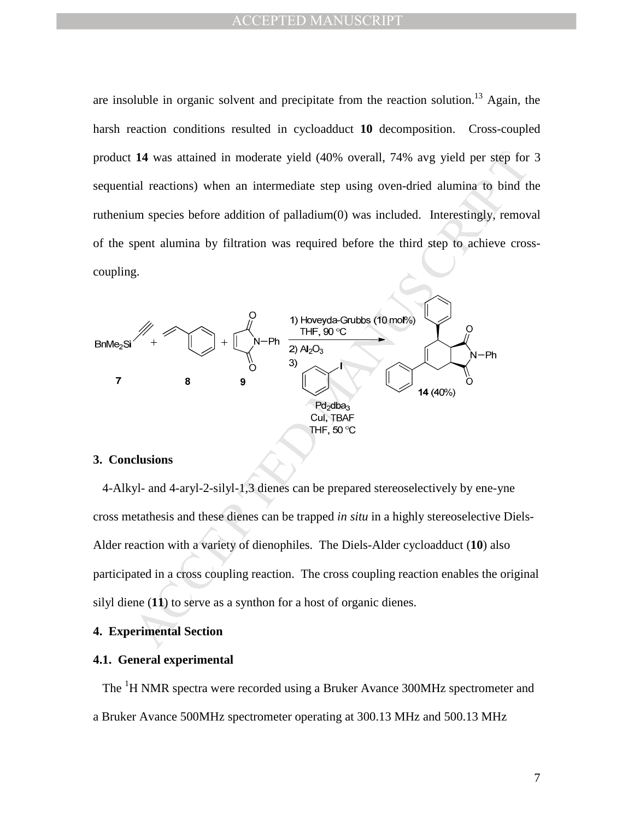are insoluble in organic solvent and precipitate from the reaction solution.<sup>13</sup> Again, the harsh reaction conditions resulted in cycloadduct **10** decomposition. Cross-coupled product **14** was attained in moderate yield (40% overall, 74% avg yield per step for 3 sequential reactions) when an intermediate step using oven-dried alumina to bind the ruthenium species before addition of palladium(0) was included. Interestingly, removal of the spent alumina by filtration was required before the third step to achieve crosscoupling.



### **3. Conclusions**

 4-Alkyl- and 4-aryl-2-silyl-1,3 dienes can be prepared stereoselectively by ene-yne cross metathesis and these dienes can be trapped *in situ* in a highly stereoselective Diels-Alder reaction with a variety of dienophiles. The Diels-Alder cycloadduct (**10**) also participated in a cross coupling reaction. The cross coupling reaction enables the original silyl diene (**11**) to serve as a synthon for a host of organic dienes.

## **4. Experimental Section**

### **4.1. General experimental**

The <sup>1</sup>H NMR spectra were recorded using a Bruker Avance 300MHz spectrometer and a Bruker Avance 500MHz spectrometer operating at 300.13 MHz and 500.13 MHz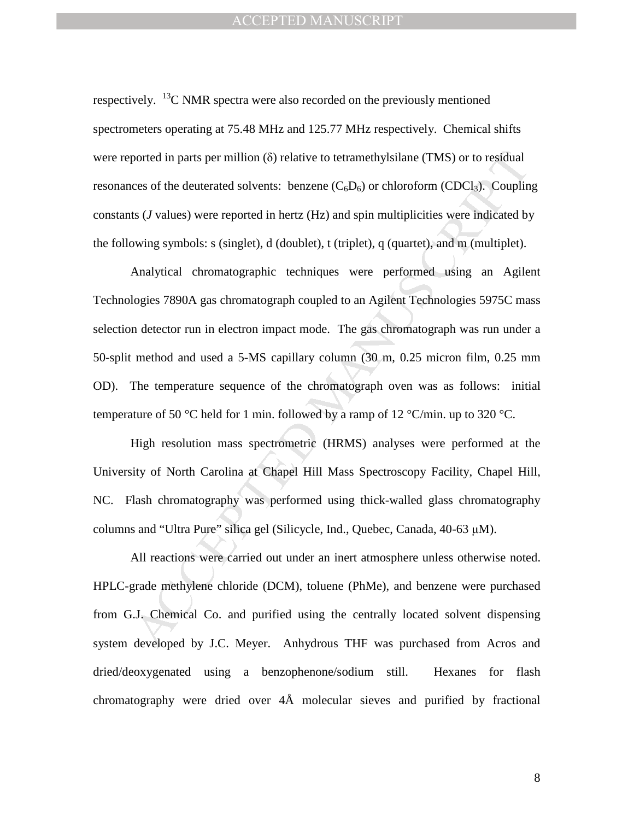respectively. <sup>13</sup>C NMR spectra were also recorded on the previously mentioned spectrometers operating at 75.48 MHz and 125.77 MHz respectively. Chemical shifts were reported in parts per million (δ) relative to tetramethylsilane (TMS) or to residual resonances of the deuterated solvents: benzene  $(C_6D_6)$  or chloroform (CDCl<sub>3</sub>). Coupling constants (*J* values) were reported in hertz (Hz) and spin multiplicities were indicated by the following symbols: s (singlet), d (doublet), t (triplet), q (quartet), and m (multiplet).

ported in parts per million (δ) relative to tetramethylisliane (TMS) or to residual<br>ces of the deuterated solvents: benzene (C<sub>6</sub>D<sub>6</sub>) or chloroform (CDCl<sub>3</sub>). Couplin<br>ts (*J* values) were reported in hertz (Hz) and spin m Analytical chromatographic techniques were performed using an Agilent Technologies 7890A gas chromatograph coupled to an Agilent Technologies 5975C mass selection detector run in electron impact mode. The gas chromatograph was run under a 50-split method and used a 5-MS capillary column (30 m, 0.25 micron film, 0.25 mm OD). The temperature sequence of the chromatograph oven was as follows: initial temperature of 50 °C held for 1 min. followed by a ramp of 12 °C/min. up to 320 °C.

 High resolution mass spectrometric (HRMS) analyses were performed at the University of North Carolina at Chapel Hill Mass Spectroscopy Facility, Chapel Hill, NC. Flash chromatography was performed using thick-walled glass chromatography columns and "Ultra Pure" silica gel (Silicycle, Ind., Quebec, Canada, 40-63 µM).

All reactions were carried out under an inert atmosphere unless otherwise noted. HPLC-grade methylene chloride (DCM), toluene (PhMe), and benzene were purchased from G.J. Chemical Co. and purified using the centrally located solvent dispensing system developed by J.C. Meyer. Anhydrous THF was purchased from Acros and dried/deoxygenated using a benzophenone/sodium still. Hexanes for flash chromatography were dried over 4Å molecular sieves and purified by fractional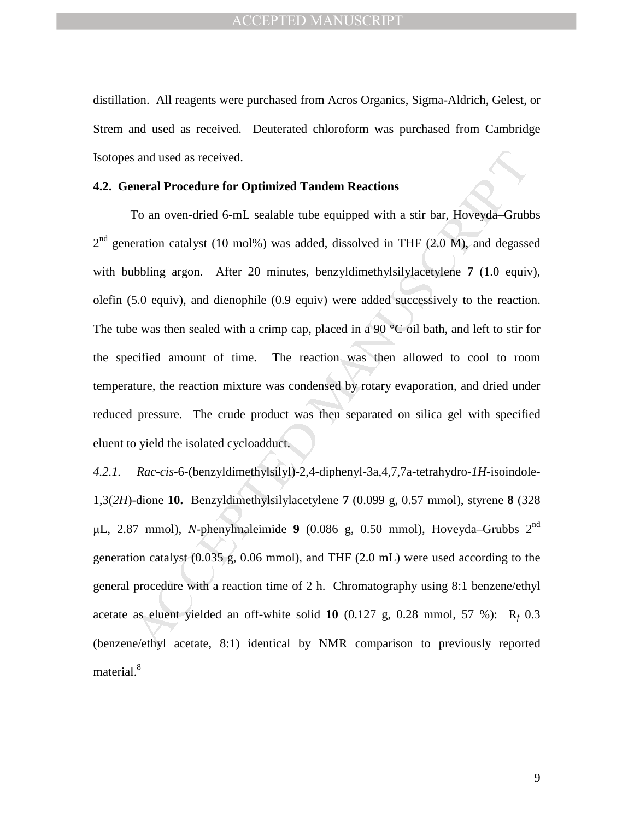distillation. All reagents were purchased from Acros Organics, Sigma-Aldrich, Gelest, or Strem and used as received. Deuterated chloroform was purchased from Cambridge Isotopes and used as received.

#### **4.2. General Procedure for Optimized Tandem Reactions**

s and used as received.<br> **Engine Procedure for Optimized Tandem Reactions**<br>
To an oven-dried 6-mL sealable tube equipped with a stir bar, Hoveyda-Grubler<br>
artion catalyst (10 mol%) was added, dissolved in THF (2.0 M), and To an oven-dried 6-mL sealable tube equipped with a stir bar, Hoveyda–Grubbs  $2<sup>nd</sup>$  generation catalyst (10 mol%) was added, dissolved in THF (2.0 M), and degassed with bubbling argon. After 20 minutes, benzyldimethylsilylacetylene **7** (1.0 equiv), olefin (5.0 equiv), and dienophile (0.9 equiv) were added successively to the reaction. The tube was then sealed with a crimp cap, placed in a 90  $^{\circ}$ C oil bath, and left to stir for the specified amount of time. The reaction was then allowed to cool to room temperature, the reaction mixture was condensed by rotary evaporation, and dried under reduced pressure. The crude product was then separated on silica gel with specified eluent to yield the isolated cycloadduct.

*4.2.1. Rac-cis*-6-(benzyldimethylsilyl)-2,4-diphenyl-3a,4,7,7a-tetrahydro-*1H*-isoindole-1,3(*2H*)-dione **10.** Benzyldimethylsilylacetylene **7** (0.099 g, 0.57 mmol), styrene **8** (328 µL, 2.87 mmol), *N*-phenylmaleimide **9** (0.086 g, 0.50 mmol), Hoveyda–Grubbs 2nd generation catalyst (0.035 g, 0.06 mmol), and THF (2.0 mL) were used according to the general procedure with a reaction time of 2 h. Chromatography using 8:1 benzene/ethyl acetate as eluent yielded an off-white solid **10** (0.127 g, 0.28 mmol, 57 %): R*<sup>f</sup>* 0.3 (benzene/ethyl acetate, 8:1) identical by NMR comparison to previously reported material.<sup>8</sup>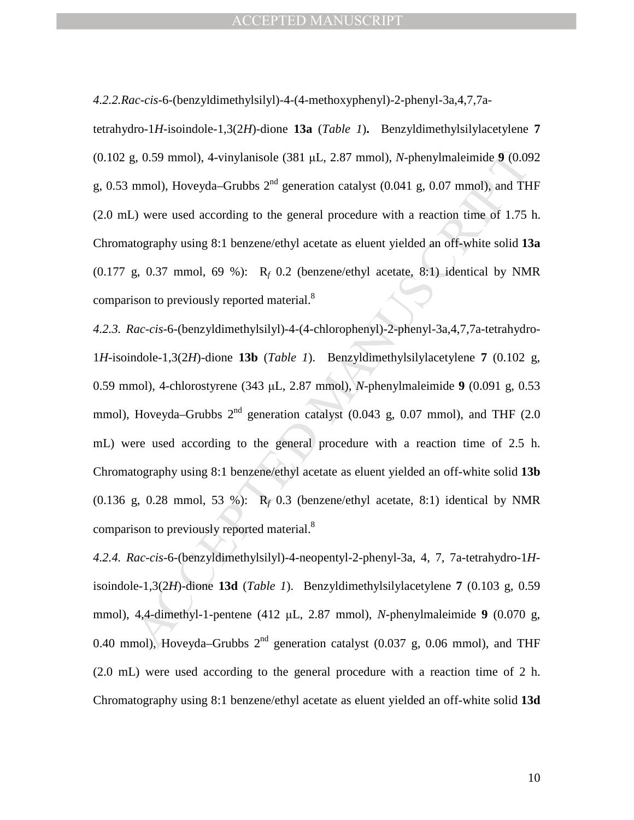*4.2.2.Rac-cis*-6-(benzyldimethylsilyl)-4-(4-methoxyphenyl)-2-phenyl-3a,4,7,7a-

tetrahydro-1*H*-isoindole-1,3(2*H*)-dione **13a** (*Table 1*)**.** Benzyldimethylsilylacetylene **7**  (0.102 g, 0.59 mmol), 4-vinylanisole (381 µL, 2.87 mmol), *N*-phenylmaleimide **9** (0.092 g, 0.53 mmol), Hoveyda–Grubbs  $2<sup>nd</sup>$  generation catalyst (0.041 g, 0.07 mmol), and THF (2.0 mL) were used according to the general procedure with a reaction time of 1.75 h. Chromatography using 8:1 benzene/ethyl acetate as eluent yielded an off-white solid **13a**  $(0.177 \text{ g}, 0.37 \text{ mmol}, 69 \text{ %})$ : R<sub>f</sub> 0.2 (benzene/ethyl acetate, 8:1) identical by NMR comparison to previously reported material.<sup>8</sup>

g, 0.59 mmol), 4-vinylanisole (381 µL, 2.87 mmol), *N*-phenylmaleimide 9 (0.09<br>mmol), Hoveyda-Grubbs  $2^{nd}$  generation catalyst (0.041 g, 0.07 mmol), and TH<br>-) were used according to the general procedure with a reaction *4.2.3. Rac-cis*-6-(benzyldimethylsilyl)-4-(4-chlorophenyl)-2-phenyl-3a,4,7,7a-tetrahydro-1*H*-isoindole-1,3(2*H*)-dione **13b** (*Table 1*). Benzyldimethylsilylacetylene **7** (0.102 g, 0.59 mmol), 4-chlorostyrene (343 µL, 2.87 mmol), *N*-phenylmaleimide **9** (0.091 g, 0.53 mmol), Hoveyda–Grubbs  $2<sup>nd</sup>$  generation catalyst (0.043 g, 0.07 mmol), and THF (2.0 mL) were used according to the general procedure with a reaction time of 2.5 h. Chromatography using 8:1 benzene/ethyl acetate as eluent yielded an off-white solid **13b** (0.136 g, 0.28 mmol, 53 %):  $R_f$  0.3 (benzene/ethyl acetate, 8:1) identical by NMR comparison to previously reported material. $8$ 

*4.2.4. Rac-cis*-6-(benzyldimethylsilyl)-4-neopentyl-2-phenyl-3a, 4, 7, 7a-tetrahydro-1*H*isoindole-1,3(2*H*)-dione **13d** (*Table 1*). Benzyldimethylsilylacetylene **7** (0.103 g, 0.59 mmol), 4,4-dimethyl-1-pentene (412 µL, 2.87 mmol), *N*-phenylmaleimide **9** (0.070 g, 0.40 mmol), Hoveyda–Grubbs  $2<sup>nd</sup>$  generation catalyst (0.037 g, 0.06 mmol), and THF (2.0 mL) were used according to the general procedure with a reaction time of 2 h. Chromatography using 8:1 benzene/ethyl acetate as eluent yielded an off-white solid **13d**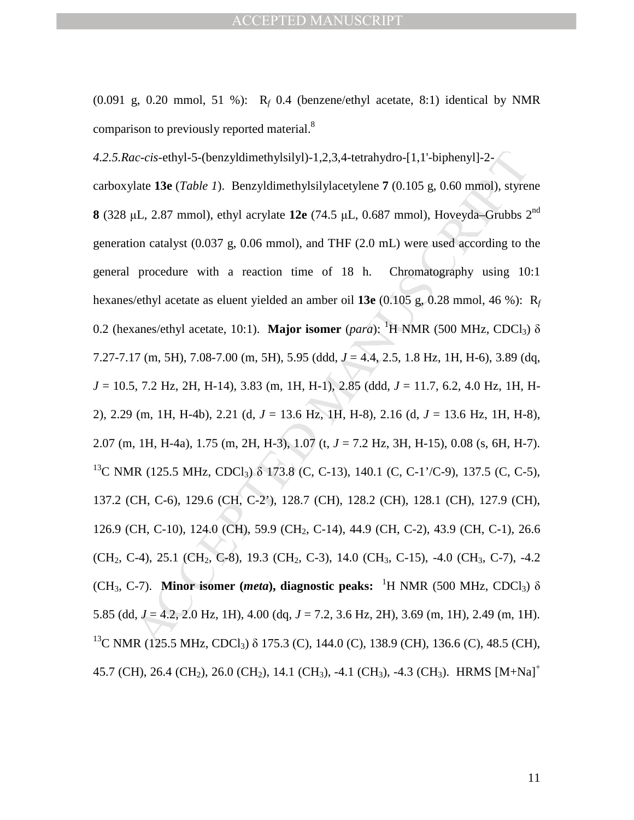$(0.091 \text{ g}, 0.20 \text{ mmol}, 51 \text{ %})$ : R<sub>f</sub> 0.4 (benzene/ethyl acetate, 8:1) identical by NMR comparison to previously reported material.<sup>8</sup>

*zc-cis-ethyl-5-*(benzyldimethylsilyl)-1.2,3,4-tetrahydro-[1,1'-biphenyl]-2-<br>
vlate 13e (*Table 1)*. Benzyldimethylsilylacetylene 7 (0.105 g, 0.60 mmol), styres<br>
(L, 2.87 mmol), ethyl acrylate 12e (74.5 µL, 0.687 mmol), H *4.2.5.Rac-cis*-ethyl-5-(benzyldimethylsilyl)-1,2,3,4-tetrahydro-[1,1'-biphenyl]-2 carboxylate **13e** (*Table 1*). Benzyldimethylsilylacetylene **7** (0.105 g, 0.60 mmol), styrene **8** (328 µL, 2.87 mmol), ethyl acrylate  $12e$  (74.5 µL, 0.687 mmol), Hoveyda–Grubbs  $2<sup>nd</sup>$ generation catalyst (0.037 g, 0.06 mmol), and THF (2.0 mL) were used according to the general procedure with a reaction time of 18 h. Chromatography using 10:1 hexanes/ethyl acetate as eluent yielded an amber oil **13e** (0.105 g, 0.28 mmol, 46 %): R*<sup>f</sup>* 0.2 (hexanes/ethyl acetate, 10:1). **Major isomer** (*para*): <sup>1</sup>H NMR (500 MHz, CDCl<sub>3</sub>)  $\delta$ 7.27-7.17 (m, 5H), 7.08-7.00 (m, 5H), 5.95 (ddd, *J* = 4.4, 2.5, 1.8 Hz, 1H, H-6), 3.89 (dq, *J* = 10.5, 7.2 Hz, 2H, H-14), 3.83 (m, 1H, H-1), 2.85 (ddd, *J* = 11.7, 6.2, 4.0 Hz, 1H, H-2), 2.29 (m, 1H, H-4b), 2.21 (d, *J* = 13.6 Hz, 1H, H-8), 2.16 (d, *J* = 13.6 Hz, 1H, H-8), 2.07 (m, 1H, H-4a), 1.75 (m, 2H, H-3), 1.07 (t, *J* = 7.2 Hz, 3H, H-15), 0.08 (s, 6H, H-7). <sup>13</sup>C NMR (125.5 MHz, CDCl<sub>3</sub>)  $\delta$  173.8 (C, C-13), 140.1 (C, C-1'/C-9), 137.5 (C, C-5), 137.2 (CH, C-6), 129.6 (CH, C-2'), 128.7 (CH), 128.2 (CH), 128.1 (CH), 127.9 (CH), 126.9 (CH, C-10), 124.0 (CH), 59.9 (CH<sub>2</sub>, C-14), 44.9 (CH, C-2), 43.9 (CH, C-1), 26.6  $(CH_2, C-4)$ , 25.1 (CH<sub>2</sub>, C-8), 19.3 (CH<sub>2</sub>, C-3), 14.0 (CH<sub>3</sub>, C-15), -4.0 (CH<sub>3</sub>, C-7), -4.2 (CH<sub>3</sub>, C-7). **Minor isomer (***meta***), diagnostic peaks:** <sup>1</sup>H NMR (500 MHz, CDCl<sub>3</sub>) δ 5.85 (dd, *J* = 4.2, 2.0 Hz, 1H), 4.00 (dq, *J* = 7.2, 3.6 Hz, 2H), 3.69 (m, 1H), 2.49 (m, 1H). <sup>13</sup>C NMR (125.5 MHz, CDCl<sub>3</sub>) δ 175.3 (C), 144.0 (C), 138.9 (CH), 136.6 (C), 48.5 (CH), 45.7 (CH), 26.4 (CH<sub>2</sub>), 26.0 (CH<sub>2</sub>), 14.1 (CH<sub>3</sub>), -4.1 (CH<sub>3</sub>), -4.3 (CH<sub>3</sub>). HRMS  $[M+Na]$ <sup>+</sup>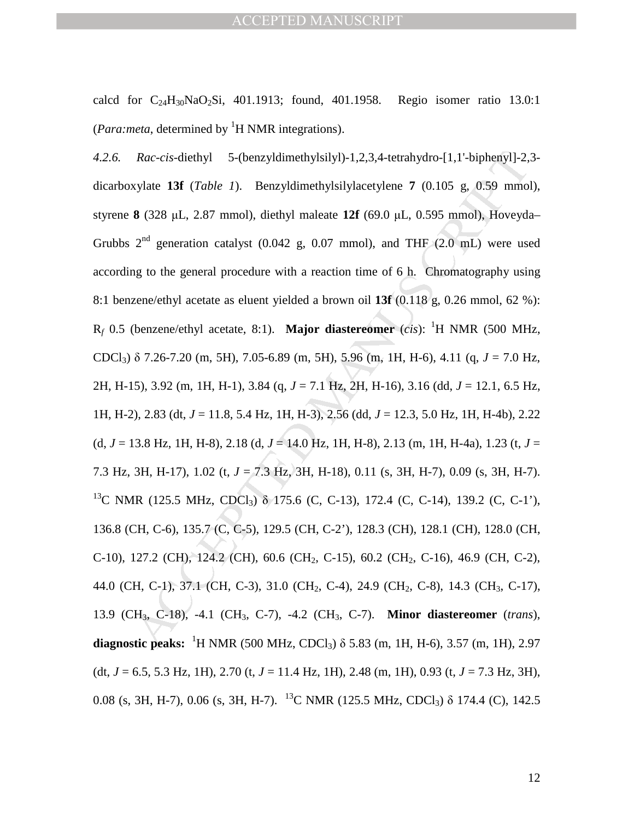calcd for  $C_{24}H_{30}NaO_2Si$ , 401.1913; found, 401.1958. Regio isomer ratio 13.0:1 (*Para:meta*, determined by <sup>1</sup>H NMR integrations).

*Rac-cis-*diethyl 5-(benzyldimethylsilyl)-1,2,3,4-tetrahydro-[1,1'-biphenyl]-2,<br>
xylate 13f (*Table 1*). Benzyldimethylsilylacetylene 7 (0.105 g, 0.59 mmol<br>
8 (328 µL, 2.87 mmol), diethyl maleate 12f (69.0 µL, 0.595 mmol) *4.2.6. Rac-cis*-diethyl 5-(benzyldimethylsilyl)-1,2,3,4-tetrahydro-[1,1'-biphenyl]-2,3 dicarboxylate **13f** (*Table 1*).Benzyldimethylsilylacetylene **7** (0.105 g, 0.59 mmol), styrene **8** (328 µL, 2.87 mmol), diethyl maleate **12f** (69.0 µL, 0.595 mmol), Hoveyda– Grubbs  $2<sup>nd</sup>$  generation catalyst (0.042 g, 0.07 mmol), and THF (2.0 mL) were used according to the general procedure with a reaction time of 6 h. Chromatography using 8:1 benzene/ethyl acetate as eluent yielded a brown oil **13f** (0.118 g, 0.26 mmol, 62 %):  $R_f$  0.5 (benzene/ethyl acetate, 8:1). **Major diastereomer** (*cis*): <sup>1</sup>H NMR (500 MHz, CDCl3) δ 7.26-7.20 (m, 5H), 7.05-6.89 (m, 5H), 5.96 (m, 1H, H-6), 4.11 (q, *J* = 7.0 Hz, 2H, H-15), 3.92 (m, 1H, H-1), 3.84 (q, *J* = 7.1 Hz, 2H, H-16), 3.16 (dd, *J* = 12.1, 6.5 Hz, 1H, H-2), 2.83 (dt, *J* = 11.8, 5.4 Hz, 1H, H-3), 2.56 (dd, *J* = 12.3, 5.0 Hz, 1H, H-4b), 2.22  $(d, J = 13.8 \text{ Hz}, 1H, H-8), 2.18 (d, J = 14.0 \text{ Hz}, 1H, H-8), 2.13 (m, 1H, H-4a), 1.23 (t, J =$ 7.3 Hz, 3H, H-17), 1.02 (t, *J* = 7.3 Hz, 3H, H-18), 0.11 (s, 3H, H-7), 0.09 (s, 3H, H-7). <sup>13</sup>C NMR (125.5 MHz, CDCl<sub>3</sub>) δ 175.6 (C, C-13), 172.4 (C, C-14), 139.2 (C, C-1'), 136.8 (CH, C-6), 135.7 (C, C-5), 129.5 (CH, C-2'), 128.3 (CH), 128.1 (CH), 128.0 (CH, C-10), 127.2 (CH), 124.2 (CH), 60.6 (CH<sub>2</sub>, C-15), 60.2 (CH<sub>2</sub>, C-16), 46.9 (CH, C-2), 44.0 (CH, C-1), 37.1 (CH, C-3), 31.0 (CH<sub>2</sub>, C-4), 24.9 (CH<sub>2</sub>, C-8), 14.3 (CH<sub>3</sub>, C-17), 13.9 (CH3, C-18), -4.1 (CH3, C-7), -4.2 (CH3, C-7). **Minor diastereomer** (*trans*), **diagnostic peaks:** <sup>1</sup>H NMR (500 MHz, CDCl<sub>3</sub>)  $\delta$  5.83 (m, 1H, H-6), 3.57 (m, 1H), 2.97 (dt,  $J = 6.5, 5.3$  Hz, 1H), 2.70 (t,  $J = 11.4$  Hz, 1H), 2.48 (m, 1H), 0.93 (t,  $J = 7.3$  Hz, 3H), 0.08 (s, 3H, H-7), 0.06 (s, 3H, H-7). <sup>13</sup>C NMR (125.5 MHz, CDCl<sub>3</sub>)  $\delta$  174.4 (C), 142.5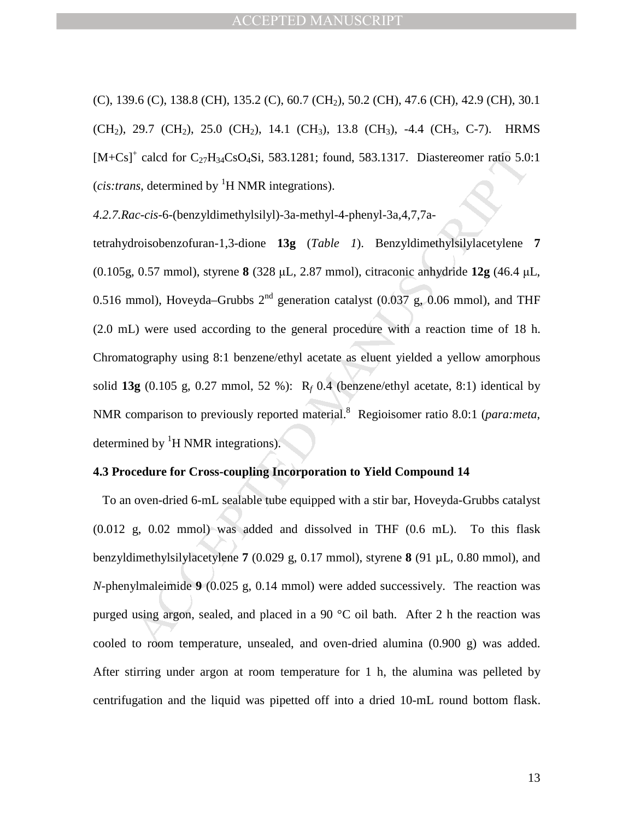(C), 139.6 (C), 138.8 (CH), 135.2 (C), 60.7 (CH2), 50.2 (CH), 47.6 (CH), 42.9 (CH), 30.1  $(CH_2)$ , 29.7  $(CH_2)$ , 25.0  $(CH_2)$ , 14.1  $(CH_3)$ , 13.8  $(CH_3)$ , -4.4  $(CH_3, C$ -7). HRMS  $[M+Cs]^+$  calcd for  $C_{27}H_{34}CsO_4Si$ , 583.1281; found, 583.1317. Diastereomer ratio 5.0:1 (*cis:trans*, determined by  ${}^{1}H$  NMR integrations).

*4.2.7.Rac-cis*-6-(benzyldimethylsilyl)-3a-methyl-4-phenyl-3a,4,7,7a-

<sup>†</sup> calcd for C<sub>27</sub>H<sub>34</sub>CsO<sub>2</sub>Si, 583.1281; found, 583.1317. Diastereomer ratio 5.0<br>
ns, determined by <sup>1</sup>H NMR integrations).<br>
nc-cis-6-(benzyldimethylsily).<sup>3</sup>a-methyl-4-phenyl-3a,4,7,7a-<br>
troisobenzofuran-1,3-dione 13g tetrahydroisobenzofuran-1,3-dione **13g** (*Table 1*). Benzyldimethylsilylacetylene **7**  (0.105g, 0.57 mmol), styrene **8** (328 µL, 2.87 mmol), citraconic anhydride **12g** (46.4 µL, 0.516 mmol), Hoveyda–Grubbs  $2<sup>nd</sup>$  generation catalyst (0.037 g, 0.06 mmol), and THF (2.0 mL) were used according to the general procedure with a reaction time of 18 h. Chromatography using 8:1 benzene/ethyl acetate as eluent yielded a yellow amorphous solid  $13g$  (0.105 g, 0.27 mmol, 52 %):  $R_f$  0.4 (benzene/ethyl acetate, 8:1) identical by NMR comparison to previously reported material.<sup>8</sup> Regioisomer ratio 8.0:1 (*para:meta*, determined by  ${}^{1}H$  NMR integrations).

## **4.3 Procedure for Cross-coupling Incorporation to Yield Compound 14**

 To an oven-dried 6-mL sealable tube equipped with a stir bar, Hoveyda-Grubbs catalyst (0.012 g, 0.02 mmol) was added and dissolved in THF (0.6 mL). To this flask benzyldimethylsilylacetylene **7** (0.029 g, 0.17 mmol), styrene **8** (91 µL, 0.80 mmol), and *N*-phenylmaleimide **9** (0.025 g, 0.14 mmol) were added successively. The reaction was purged using argon, sealed, and placed in a 90  $^{\circ}$ C oil bath. After 2 h the reaction was cooled to room temperature, unsealed, and oven-dried alumina (0.900 g) was added. After stirring under argon at room temperature for 1 h, the alumina was pelleted by centrifugation and the liquid was pipetted off into a dried 10-mL round bottom flask.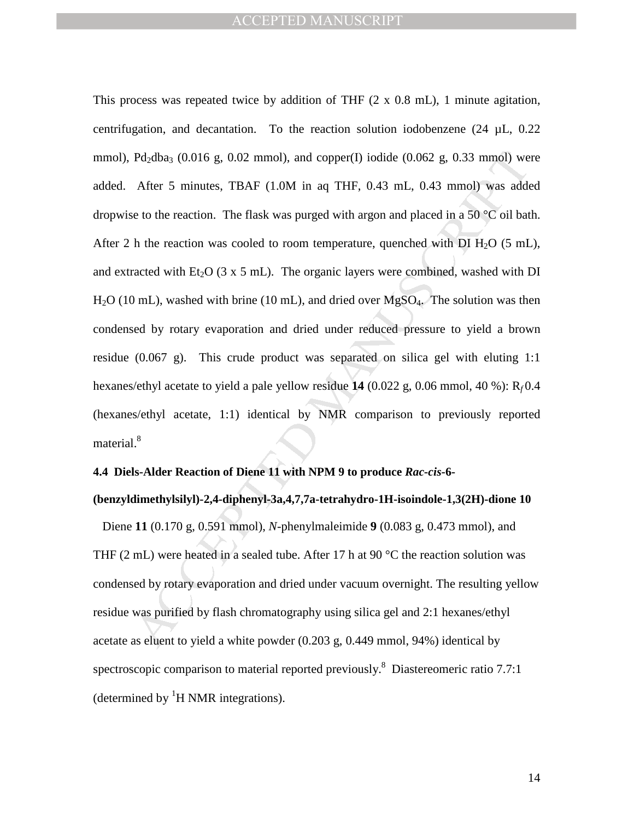Pd<sub>3</sub>dba<sub>3</sub> (0.016 g, 0.02 mmol), and copper(I) iodide (0.062 g, 0.33 mmol) we<br>After 5 minutes, TBAF (1.0M in aq THF, 0.43 mL, 0.43 mmol) was adde<br>to the reaction. The flask was purged with argon and placed in a 50 °C oil This process was repeated twice by addition of THF (2 x 0.8 mL), 1 minute agitation, centrifugation, and decantation. To the reaction solution iodobenzene  $(24 \mu L, 0.22)$ mmol), Pd<sub>2</sub>dba<sub>3</sub> (0.016 g, 0.02 mmol), and copper(I) iodide (0.062 g, 0.33 mmol) were added. After 5 minutes, TBAF (1.0M in aq THF, 0.43 mL, 0.43 mmol) was added dropwise to the reaction. The flask was purged with argon and placed in a 50  $\degree$ C oil bath. After 2 h the reaction was cooled to room temperature, quenched with DI  $H_2O$  (5 mL), and extracted with Et<sub>2</sub>O (3 x 5 mL). The organic layers were combined, washed with DI  $H<sub>2</sub>O$  (10 mL), washed with brine (10 mL), and dried over  $M<sub>g</sub>SO<sub>4</sub>$ . The solution was then condensed by rotary evaporation and dried under reduced pressure to yield a brown residue  $(0.067 \text{ g})$ . This crude product was separated on silica gel with eluting 1:1 hexanes/ethyl acetate to yield a pale yellow residue **14** (0.022 g, 0.06 mmol, 40 %): R*<sup>f</sup>* 0.4 (hexanes/ethyl acetate, 1:1) identical by NMR comparison to previously reported material.<sup>8</sup>

### **4.4 Diels-Alder Reaction of Diene 11 with NPM 9 to produce** *Rac-cis***-6-**

### **(benzyldimethylsilyl)-2,4-diphenyl-3a,4,7,7a-tetrahydro-1H-isoindole-1,3(2H)-dione 10**

 Diene **11** (0.170 g, 0.591 mmol), *N*-phenylmaleimide **9** (0.083 g, 0.473 mmol), and THF (2 mL) were heated in a sealed tube. After 17 h at 90  $^{\circ}$ C the reaction solution was condensed by rotary evaporation and dried under vacuum overnight. The resulting yellow residue was purified by flash chromatography using silica gel and 2:1 hexanes/ethyl acetate as eluent to yield a white powder (0.203 g, 0.449 mmol, 94%) identical by spectroscopic comparison to material reported previously.<sup>8</sup> Diastereomeric ratio 7.7:1 (determined by  ${}^{1}H$  NMR integrations).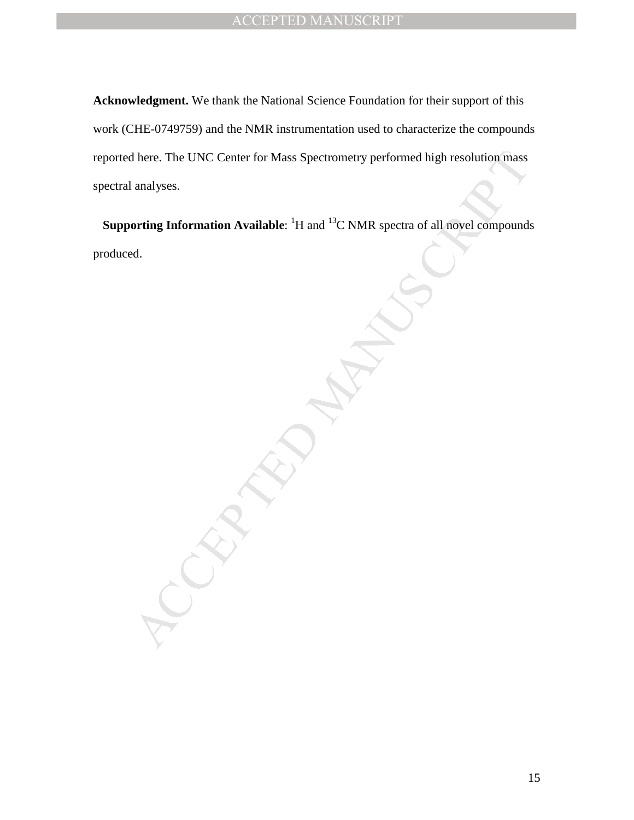The UNC Center for Mass Spectrometry performed high resolution mass<br>analyses.<br>
orting Information Available: 'H and <sup>13</sup>C NMR spectra of all novel compound:<br>
d. **Acknowledgment.** We thank the National Science Foundation for their support of this work (CHE-0749759) and the NMR instrumentation used to characterize the compounds reported here. The UNC Center for Mass Spectrometry performed high resolution mass spectral analyses.

**Supporting Information Available:** <sup>1</sup>H and <sup>13</sup>C NMR spectra of all novel compounds produced.